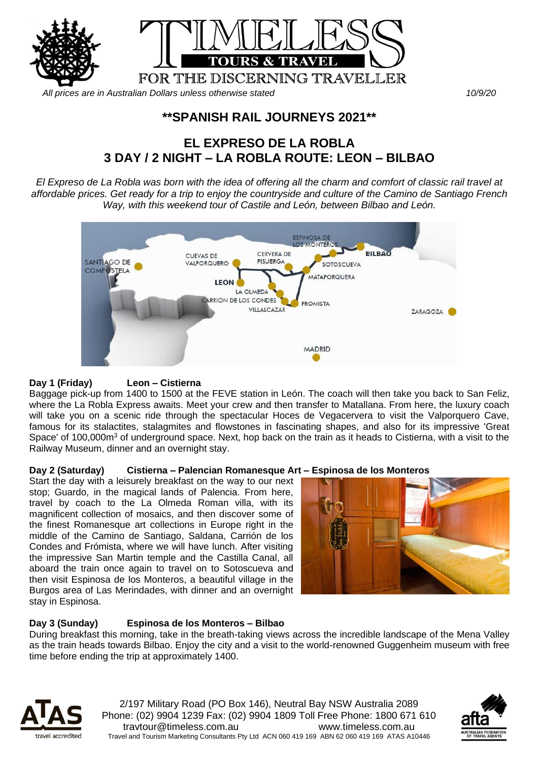

*All prices are in Australian Dollars unless otherwise stated 10/9/20*

## **\*\*SPANISH RAIL JOURNEYS 2021\*\***

# **EL EXPRESO DE LA ROBLA 3 DAY / 2 NIGHT – LA ROBLA ROUTE: LEON – BILBAO**

*El Expreso de La Robla was born with the idea of offering all the charm and comfort of classic rail travel at affordable prices. Get ready for a trip to enjoy the countryside and culture of the Camino de Santiago French Way, with this weekend tour of Castile and León, between Bilbao and León.*



#### **Day 1 (Friday) Leon – Cistierna**

Baggage pick-up from 1400 to 1500 at the FEVE station in León. The coach will then take you back to San Feliz, where the La Robla Express awaits. Meet your crew and then transfer to Matallana. From here, the luxury coach will take you on a scenic ride through the spectacular Hoces de Vegacervera to visit the Valporquero Cave, famous for its stalactites, stalagmites and flowstones in fascinating shapes, and also for its impressive 'Great Space' of 100,000m<sup>3</sup> of underground space. Next, hop back on the train as it heads to Cistierna, with a visit to the Railway Museum, dinner and an overnight stay.

#### **Day 2 (Saturday) Cistierna – Palencian Romanesque Art – Espinosa de los Monteros**

Start the day with a leisurely breakfast on the way to our next stop; Guardo, in the magical lands of Palencia. From here, travel by coach to the La Olmeda Roman villa, with its magnificent collection of mosaics, and then discover some of the finest Romanesque art collections in Europe right in the middle of the Camino de Santiago, Saldana, Carrión de los Condes and Frómista, where we will have lunch. After visiting the impressive San Martin temple and the Castilla Canal, all aboard the train once again to travel on to Sotoscueva and then visit Espinosa de los Monteros, a beautiful village in the Burgos area of Las Merindades, with dinner and an overnight stay in Espinosa.



## **Day 3 (Sunday) Espinosa de los Monteros – Bilbao**

During breakfast this morning, take in the breath-taking views across the incredible landscape of the Mena Valley as the train heads towards Bilbao. Enjoy the city and a visit to the world-renowned Guggenheim museum with free time before ending the trip at approximately 1400.